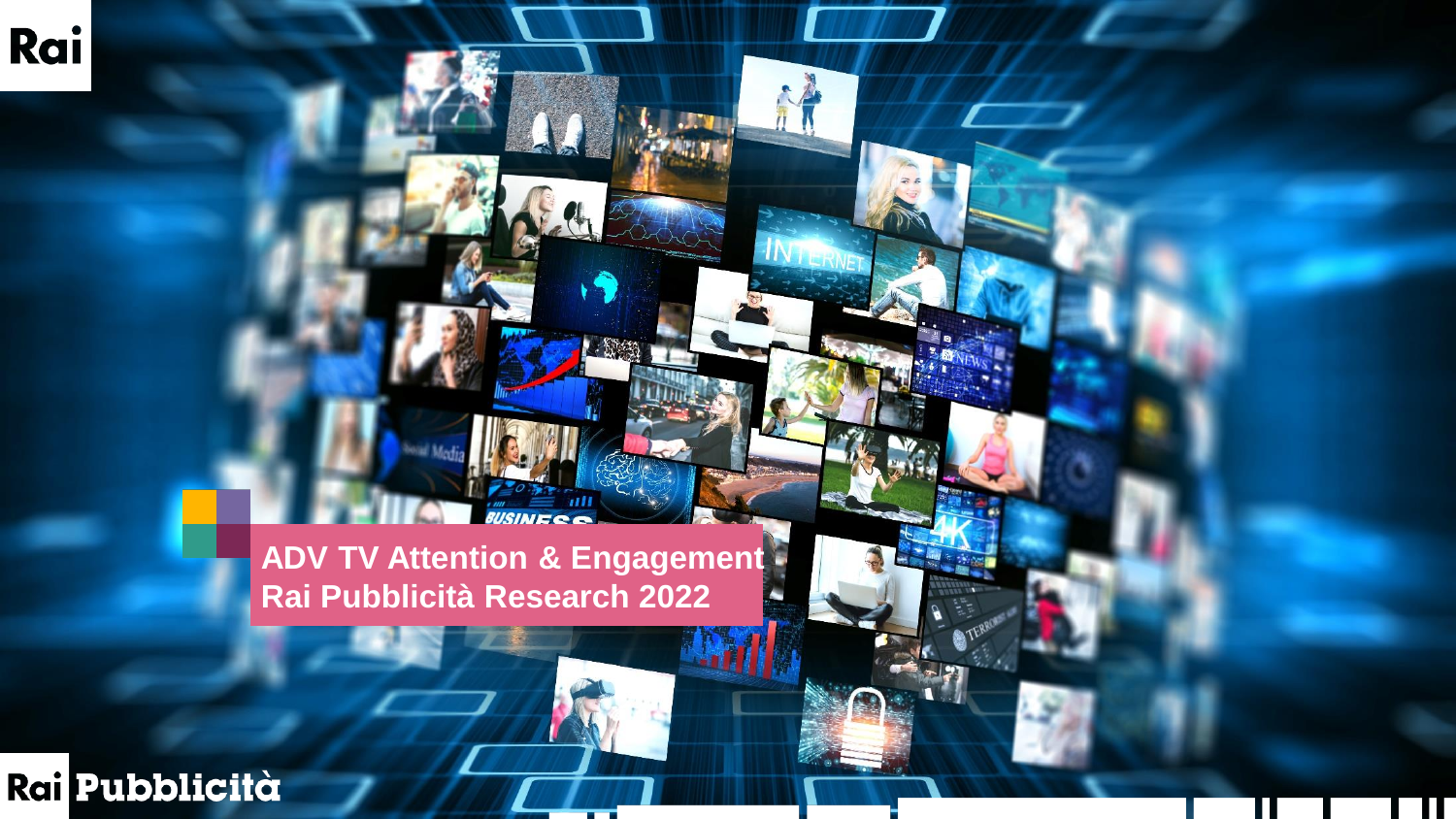**ADV TV Attention & Engagement Rai Pubblicità Research 2022**

 $-6.339$ 

 $1\hbox{N}$ 

Rai Pubblicità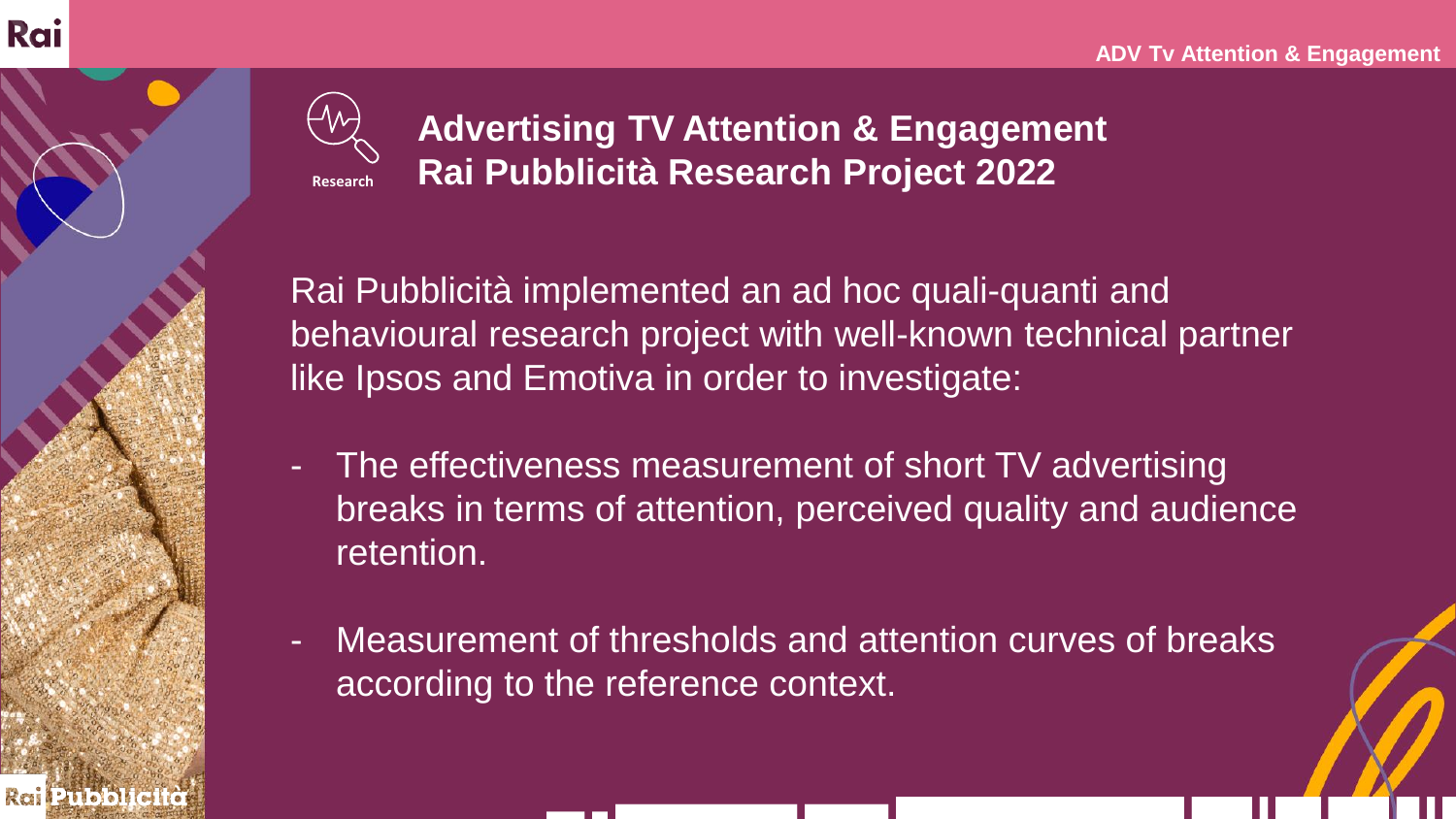

**Advertising TV Attention & Engagement Rai Pubblicità Research Project 2022**

Rai Pubblicità implemented an ad hoc quali-quanti and behavioural research project with well-known technical partner like Ipsos and Emotiva in order to investigate:

- The effectiveness measurement of short TV advertising breaks in terms of attention, perceived quality and audience retention.
- Measurement of thresholds and attention curves of breaks according to the reference context.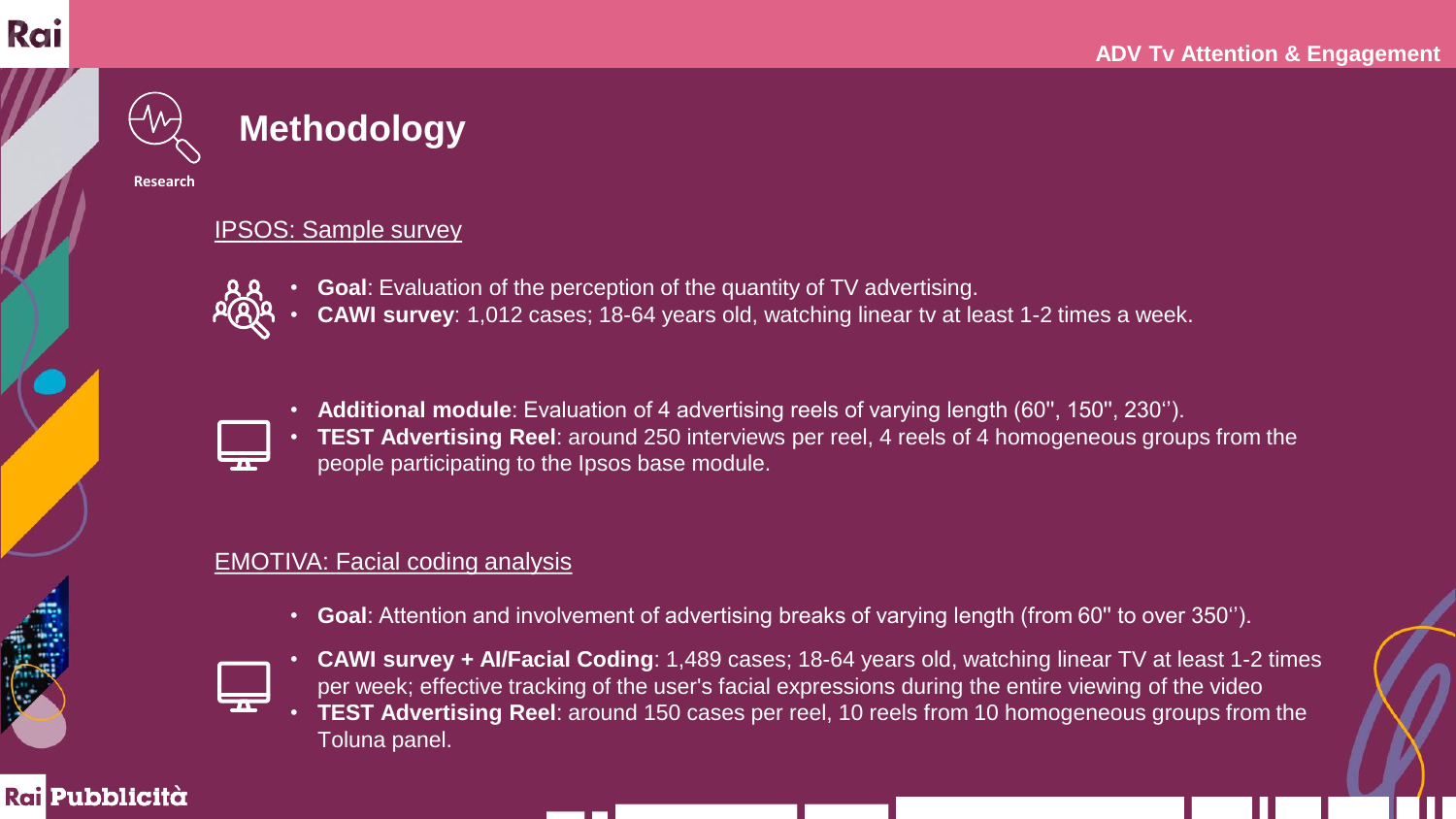

## **Methodology**

**Research**

#### IPSOS: Sample survey

- 
- **Goal**: Evaluation of the perception of the quantity of TV advertising.
	- **CAWI survey**: 1,012 cases; 18-64 years old, watching linear tv at least 1-2 times a week.



• **Additional module**: Evaluation of 4 advertising reels of varying length (60'', 150'', 230''). • **TEST Advertising Reel**: around 250 interviews per reel, 4 reels of 4 homogeneous groups from the people participating to the Ipsos base module.

### EMOTIVA: Facial coding analysis

• **Goal**: Attention and involvement of advertising breaks of varying length (from 60'' to over 350'').



- **CAWI survey + AI/Facial Coding**: 1,489 cases; 18-64 years old, watching linear TV at least 1-2 times per week; effective tracking of the user's facial expressions during the entire viewing of the video
- **TEST Advertising Reel**: around 150 cases per reel, 10 reels from 10 homogeneous groups from the Toluna panel.

### **Rail Pubblicità**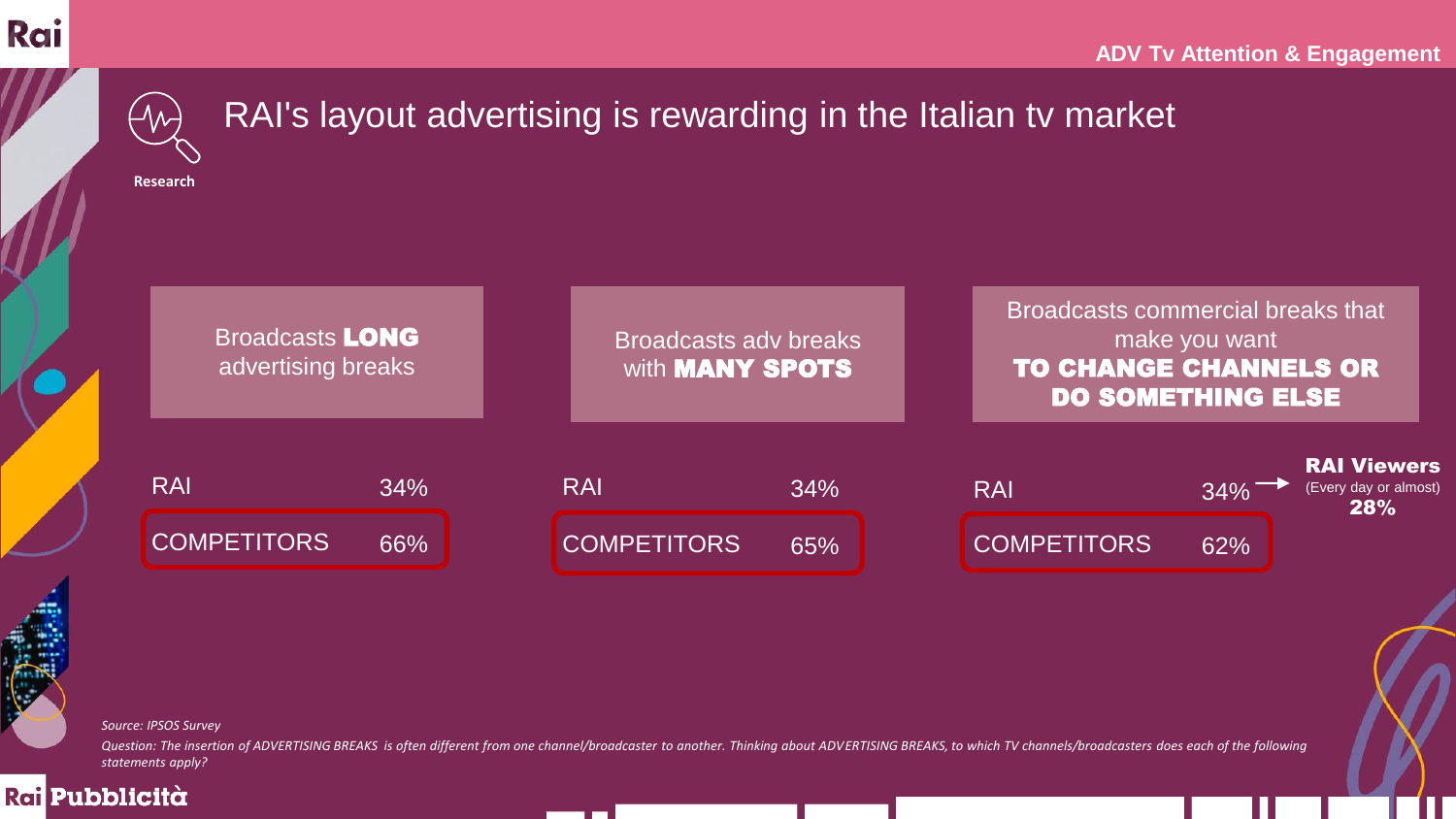Rai Pubblicità



— I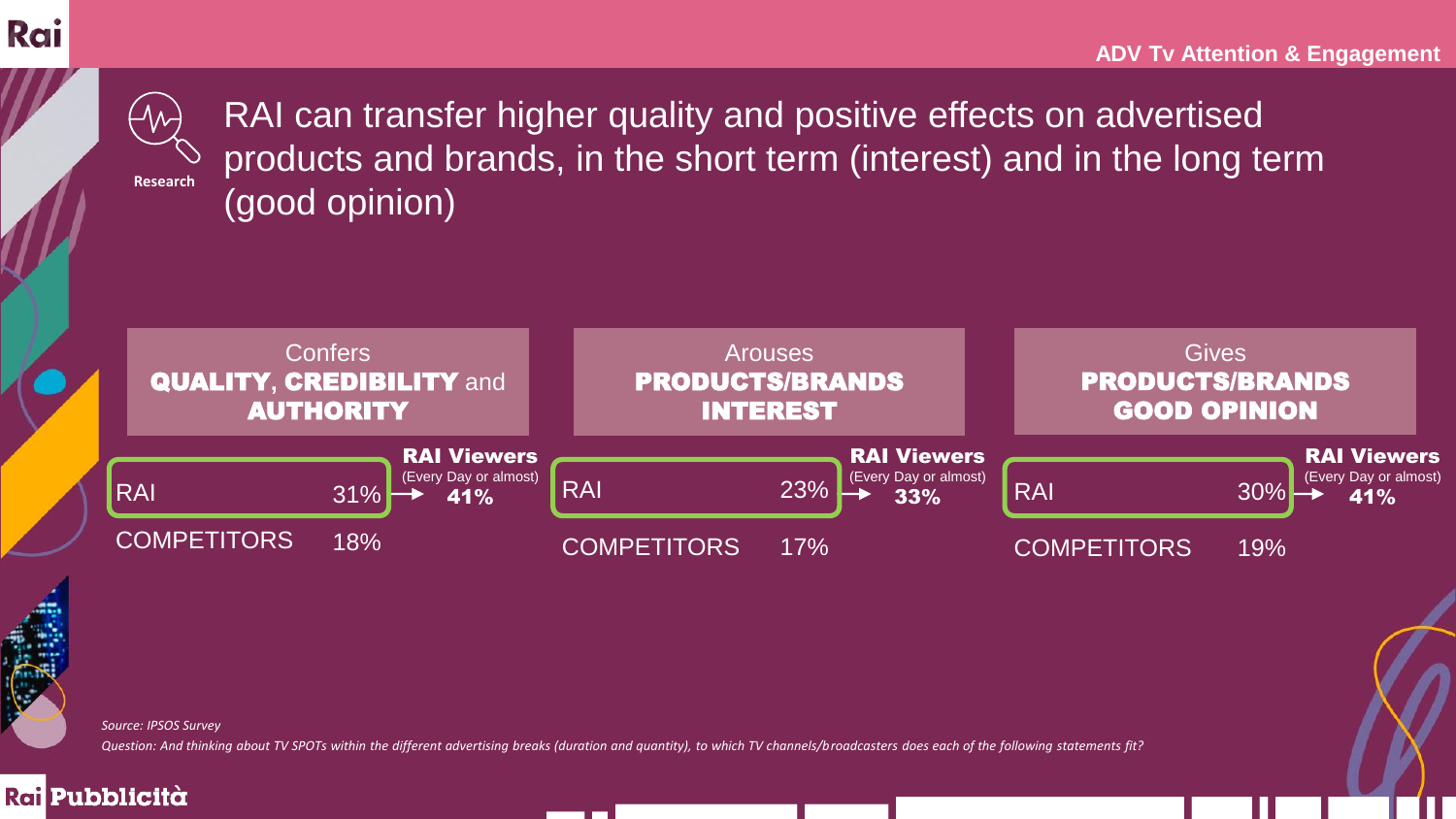

**Research**

RAI can transfer higher quality and positive effects on advertised products and brands, in the short term (interest) and in the long term (good opinion)



*Source: IPSOS Survey* 

*Question: And thinking about TV SPOTs within the different advertising breaks (duration and quantity), to which TV channels/broadcasters does each of the following statements fit?* 

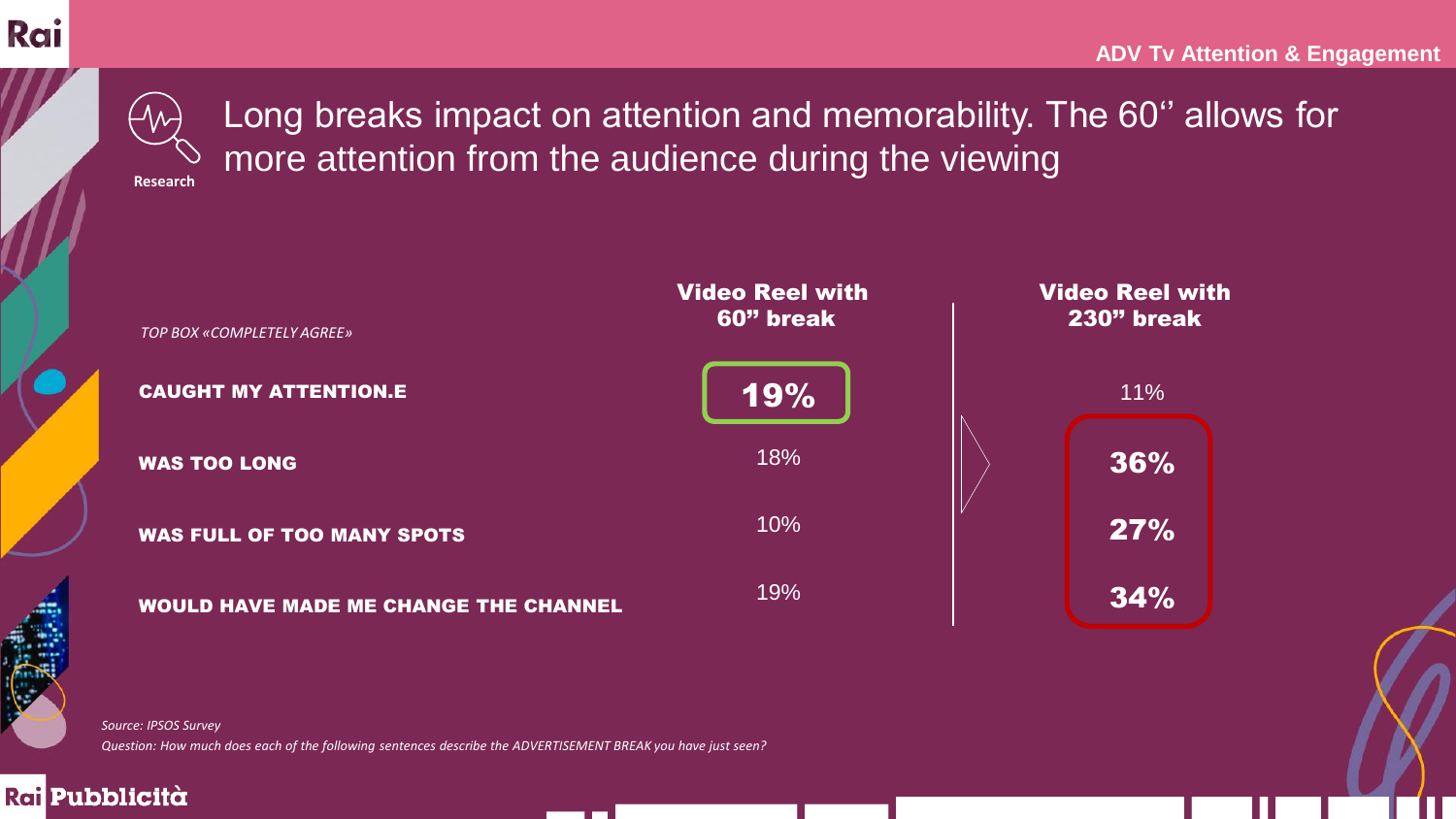

## Long breaks impact on attention and memorability. The 60'' allows for more attention from the audience during the viewing

**Research**



<u>a sa san a</u>

*Question: How much does each of the following sentences describe the ADVERTISEMENT BREAK you have just seen? Source: IPSOS Survey* 

#### Rai Pubblicità